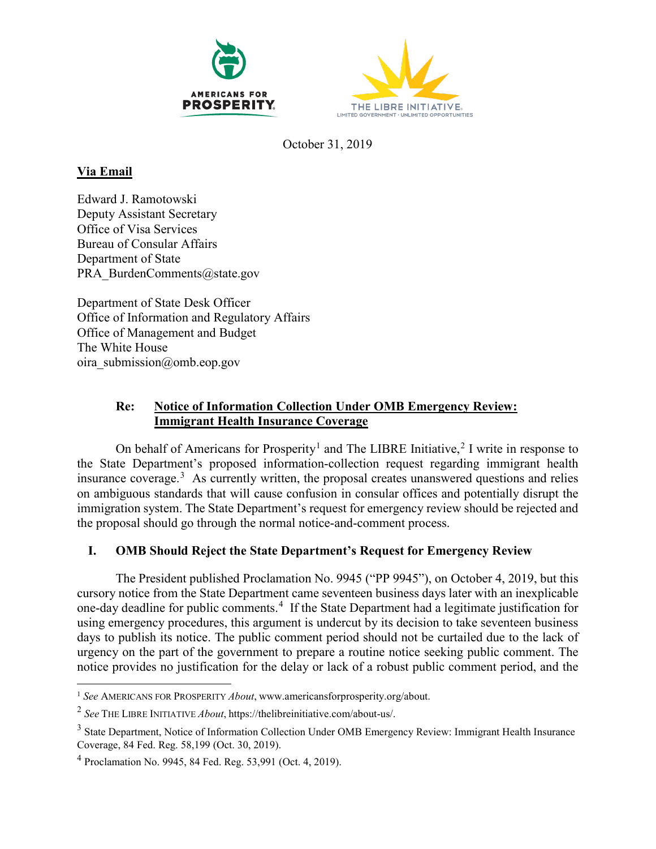



October 31, 2019

## **Via Email**

Edward J. Ramotowski Deputy Assistant Secretary Office of Visa Services Bureau of Consular Affairs Department of State PRA\_BurdenComments@state.gov

Department of State Desk Officer Office of Information and Regulatory Affairs Office of Management and Budget The White House oira submission@omb.eop.gov

## **Re: Notice of Information Collection Under OMB Emergency Review: Immigrant Health Insurance Coverage**

On behalf of Americans for Prosperity<sup>[1](#page-0-0)</sup> and The LIBRE Initiative,<sup>[2](#page-0-1)</sup> I write in response to the State Department's proposed information-collection request regarding immigrant health insurance coverage.<sup>[3](#page-0-2)</sup> As currently written, the proposal creates unanswered questions and relies on ambiguous standards that will cause confusion in consular offices and potentially disrupt the immigration system. The State Department's request for emergency review should be rejected and the proposal should go through the normal notice-and-comment process.

## **I. OMB Should Reject the State Department's Request for Emergency Review**

The President published Proclamation No. 9945 ("PP 9945"), on October 4, 2019, but this cursory notice from the State Department came seventeen business days later with an inexplicable one-day deadline for public comments. [4](#page-0-3) If the State Department had a legitimate justification for using emergency procedures, this argument is undercut by its decision to take seventeen business days to publish its notice. The public comment period should not be curtailed due to the lack of urgency on the part of the government to prepare a routine notice seeking public comment. The notice provides no justification for the delay or lack of a robust public comment period, and the

<span id="page-0-0"></span><sup>&</sup>lt;sup>1</sup> See AMERICANS FOR PROSPERITY *About*, www.americansforprosperity.org/about.

<span id="page-0-1"></span><sup>2</sup> *See* THE LIBRE INITIATIVE *About*, https://thelibreinitiative.com/about-us/.

<span id="page-0-2"></span><sup>&</sup>lt;sup>3</sup> State Department, Notice of Information Collection Under OMB Emergency Review: Immigrant Health Insurance Coverage, 84 Fed. Reg. 58,199 (Oct. 30, 2019).

<span id="page-0-3"></span><sup>4</sup> Proclamation No. 9945, 84 Fed. Reg. 53,991 (Oct. 4, 2019).